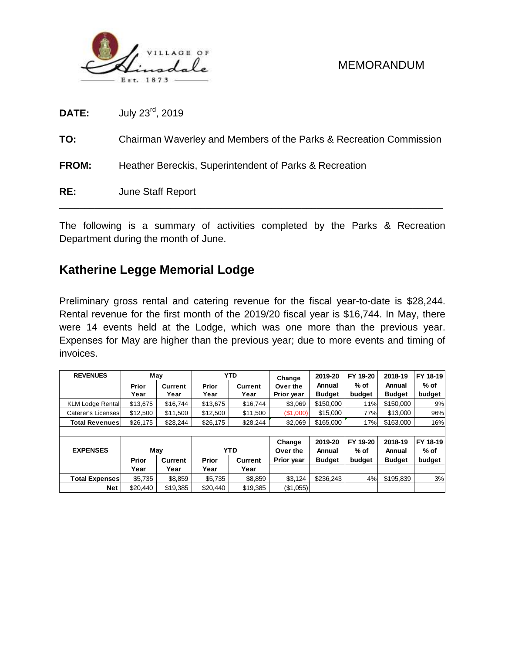

**DATE:** July 23rd , 2019

**TO:** Chairman Waverley and Members of the Parks & Recreation Commission

**FROM:** Heather Bereckis, Superintendent of Parks & Recreation

**RE:** June Staff Report

The following is a summary of activities completed by the Parks & Recreation Department during the month of June.

\_\_\_\_\_\_\_\_\_\_\_\_\_\_\_\_\_\_\_\_\_\_\_\_\_\_\_\_\_\_\_\_\_\_\_\_\_\_\_\_\_\_\_\_\_\_\_\_\_\_\_\_\_\_\_\_\_\_\_\_\_\_\_\_\_\_\_\_\_\_\_\_\_\_\_\_

# **Katherine Legge Memorial Lodge**

Preliminary gross rental and catering revenue for the fiscal year-to-date is \$28,244. Rental revenue for the first month of the 2019/20 fiscal year is \$16,744. In May, there were 14 events held at the Lodge, which was one more than the previous year. Expenses for May are higher than the previous year; due to more events and timing of invoices.

| <b>REVENUES</b>         | May              |                                |          | <b>YTD</b>     | Change     | 2019-20       | FY 19-20 | 2018-19       | FY 18-19 |  |
|-------------------------|------------------|--------------------------------|----------|----------------|------------|---------------|----------|---------------|----------|--|
|                         | Prior<br>Current |                                | Prior    | <b>Current</b> | Over the   | Annual        | $%$ of   | Annual        | $%$ of   |  |
|                         | Year             | Year                           | Year     | Year           | Prior year | <b>Budget</b> | budget   | <b>Budget</b> | budget   |  |
| <b>KLM Lodge Rental</b> | \$13,675         | \$16.744                       | \$13,675 | \$16.744       | \$3,069    | \$150,000     | 11%      | \$150,000     | 9%       |  |
| Caterer's Licenses      | \$12,500         | \$11,500                       | \$12,500 | \$11,500       | (\$1,000)  | \$15,000      | 77%      | \$13,000      | 96%      |  |
| <b>Total Revenues</b>   | \$26,175         | \$28,244                       | \$26,175 | \$28,244       | \$2,069    | \$165,000     | 17%      | \$163,000     | 16%      |  |
|                         |                  |                                |          |                |            |               |          |               |          |  |
|                         |                  |                                |          |                | Change     | 2019-20       | FY 19-20 | 2018-19       | FY 18-19 |  |
| <b>EXPENSES</b>         | May              |                                |          | <b>YTD</b>     | Over the   | Annual        | $%$ of   | Annual        | % of     |  |
|                         | Prior            | <b>Prior</b><br><b>Current</b> |          | <b>Current</b> | Prior year | <b>Budget</b> | budget   | <b>Budget</b> | budget   |  |
|                         | Year             | Year                           | Year     | Year           |            |               |          |               |          |  |
| <b>Total Expenses</b>   | \$5,735          | \$8,859                        | \$5,735  | \$8,859        | \$3,124    | \$236.243     | 4%       | \$195,839     | 3%       |  |
| <b>Net</b>              | \$20,440         | \$19,385                       | \$20,440 | \$19,385       | (\$1,055)  |               |          |               |          |  |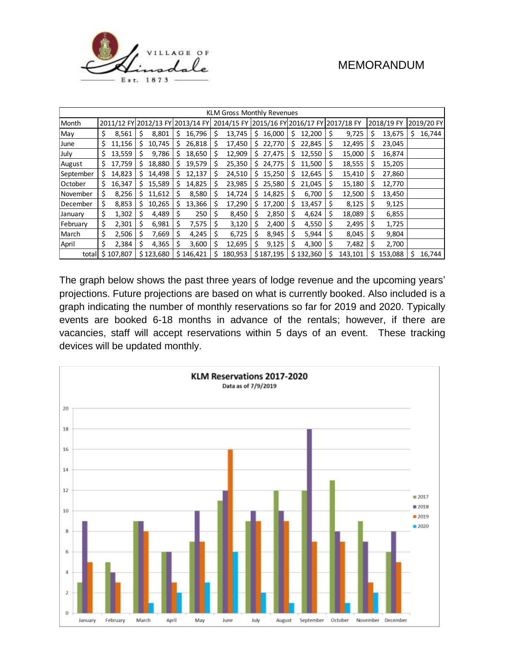

| KLM Gross Monthly Revenues |    |           |     |                                  |    |           |    |                                             |     |           |    |           |    |         |    |            |    |            |
|----------------------------|----|-----------|-----|----------------------------------|----|-----------|----|---------------------------------------------|-----|-----------|----|-----------|----|---------|----|------------|----|------------|
| Month                      |    |           |     | 2011/12 FY 2012/13 FY 2013/14 FY |    |           |    | 2014/15 FY 2015/16 FY 2016/17 FY 2017/18 FY |     |           |    |           |    |         |    | 2018/19 FY |    | 2019/20 FY |
| May                        | \$ | 8,561     | \$  | 8,801                            | \$ | 16,796    | \$ | 13,745                                      | \$. | 16,000    | \$ | 12,200    | \$ | 9,725   | S  | 13,675     | \$ | 16,744     |
| June                       | \$ | 11,156    | S   | 10,745                           | S. | 26,818    | \$ | 17,450                                      |     | \$22,770  | Ś  | 22,845    | \$ | 12,495  | S  | 23,045     |    |            |
| July                       | \$ | 13,559    | \$  | 9,786                            | S  | 18,650    | \$ | 12,909                                      |     | \$27,475  | s  | 12,550    | \$ | 15,000  | S  | 16,874     |    |            |
| August                     | \$ | 17,759    | S   | 18,880                           | s  | 19,579    | \$ | 25,350                                      | \$. | 24,775    | s  | 11,500    | \$ | 18,555  | S  | 15,205     |    |            |
| September                  | \$ | 14,823    | S   | 14,498                           | s  | 12,137    | \$ | 24,510                                      | Ś.  | 15,250    | s  | 12,645    | Ś  | 15,410  | S  | 27,860     |    |            |
| October                    | \$ | 16,347    | \$. | 15,589                           | S. | 14,825    | \$ | 23,985                                      |     | \$25,580  | \$ | 21,045    | \$ | 15,180  | S  | 12,770     |    |            |
| November                   | \$ | 8,256     | s   | 11,612                           | s  | 8,580     | \$ | 14,724                                      | S.  | 14,825    | Ś  | 6,700     | \$ | 12,500  | Ś  | 13,450     |    |            |
| December                   | \$ | 8,853     | S   | 10,265                           | S  | 13,366    | S  | 17,290                                      | s   | 17,200    | \$ | 13,457    | \$ | 8,125   | S  | 9,125      |    |            |
| January                    | \$ | 1,302     | Ş   | 4,489                            | S  | 250       | S  | 8,450                                       | S   | 2,850     | Ś  | 4,624     | \$ | 18,089  | S  | 6,855      |    |            |
| February                   | \$ | 2,301     | \$  | 6,981                            | S  | 7,575     | S  | 3,120                                       | \$  | 2,400     | Ś  | 4,550     | S. | 2,495   | S  | 1,725      |    |            |
| March                      | \$ | 2,506     | \$  | 7,669                            | S  | 4,245     | S  | 6,725                                       | Ś   | 8,945     | Ś  | 5,944     | Ś  | 8,045   |    | 9,804      |    |            |
| April                      | \$ | 2,384     | \$  | 4,365                            |    | 3,600     | \$ | 12,695                                      | \$  | 9,125     | Ś  | 4,300     | \$ | 7,482   | S  | 2,700      |    |            |
| total                      |    | \$107,807 |     | \$123,680                        |    | \$146,421 | Ś  | 180,953                                     |     | \$187,195 |    | \$132,360 | \$ | 143,101 | Ś. | 153,088    | Ś. | 16,744     |

The graph below shows the past three years of lodge revenue and the upcoming years' projections. Future projections are based on what is currently booked. Also included is a graph indicating the number of monthly reservations so far for 2019 and 2020. Typically events are booked 6-18 months in advance of the rentals; however, if there are vacancies, staff will accept reservations within 5 days of an event. These tracking devices will be updated monthly.

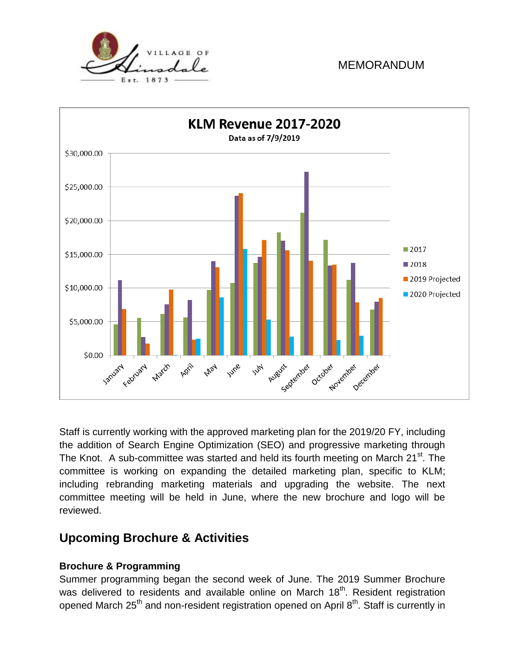



Staff is currently working with the approved marketing plan for the 2019/20 FY, including the addition of Search Engine Optimization (SEO) and progressive marketing through The Knot. A sub-committee was started and held its fourth meeting on March 21<sup>st</sup>. The committee is working on expanding the detailed marketing plan, specific to KLM; including rebranding marketing materials and upgrading the website. The next committee meeting will be held in June, where the new brochure and logo will be reviewed.

# **Upcoming Brochure & Activities**

### **Brochure & Programming**

Summer programming began the second week of June. The 2019 Summer Brochure was delivered to residents and available online on March 18<sup>th</sup>. Resident registration opened March 25<sup>th</sup> and non-resident registration opened on April 8<sup>th</sup>. Staff is currently in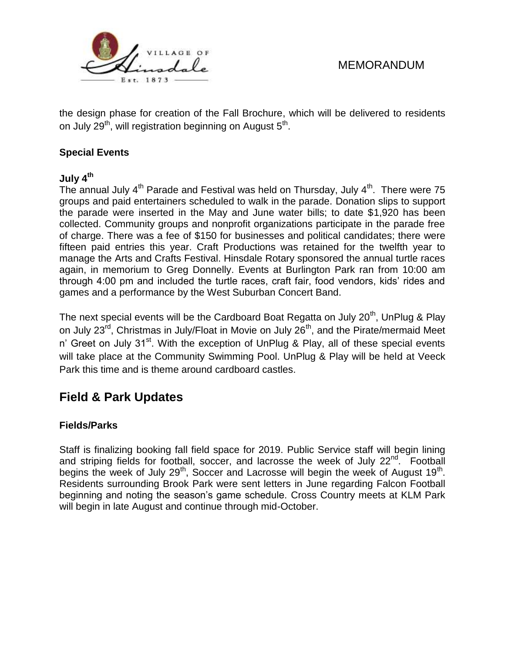

the design phase for creation of the Fall Brochure, which will be delivered to residents on July 29<sup>th</sup>, will registration beginning on August 5<sup>th</sup>.

#### **Special Events**

#### **July 4th**

The annual July  $4<sup>th</sup>$  Parade and Festival was held on Thursday, July  $4<sup>th</sup>$ . There were 75 groups and paid entertainers scheduled to walk in the parade. Donation slips to support the parade were inserted in the May and June water bills; to date \$1,920 has been collected. Community groups and nonprofit organizations participate in the parade free of charge. There was a fee of \$150 for businesses and political candidates; there were fifteen paid entries this year. Craft Productions was retained for the twelfth year to manage the Arts and Crafts Festival. Hinsdale Rotary sponsored the annual turtle races again, in memorium to Greg Donnelly. Events at Burlington Park ran from 10:00 am through 4:00 pm and included the turtle races, craft fair, food vendors, kids' rides and games and a performance by the West Suburban Concert Band.

The next special events will be the Cardboard Boat Regatta on July 20<sup>th</sup>, UnPlug & Play on July 23<sup>rd</sup>, Christmas in July/Float in Movie on July 26<sup>th</sup>, and the Pirate/mermaid Meet n' Greet on July 31<sup>st</sup>. With the exception of UnPlug & Play, all of these special events will take place at the Community Swimming Pool. UnPlug & Play will be held at Veeck Park this time and is theme around cardboard castles.

# **Field & Park Updates**

#### **Fields/Parks**

Staff is finalizing booking fall field space for 2019. Public Service staff will begin lining and striping fields for football, soccer, and lacrosse the week of July 22<sup>nd</sup>. Football begins the week of July 29<sup>th</sup>, Soccer and Lacrosse will begin the week of August 19<sup>th</sup>. Residents surrounding Brook Park were sent letters in June regarding Falcon Football beginning and noting the season's game schedule. Cross Country meets at KLM Park will begin in late August and continue through mid-October.